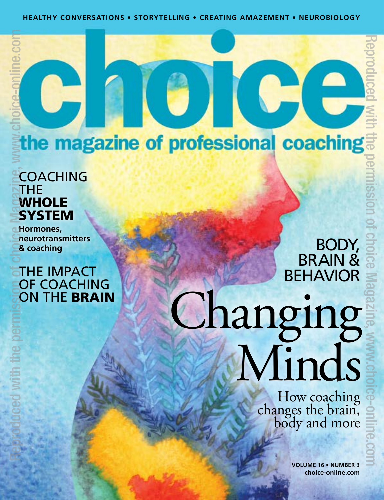### the magazine of professional coaching

**ID** 

# COACHING THE WHOLE **SYSTEM** Reproduced with the permission of choice Magazine, www.choice-online.com

G

**Hormones, neurotransmitters & coaching**

#### THE IMPACT OF COACHING<br>ON THE BRAIN

# BRAIN & BEHAVIOR Changing<br>Minds

**CHE** 

How coaching<br>changes the brain,<br>body and more

**VOLUME 16 • NUMBER 3 [choice-online.com](http://choice-online.com)**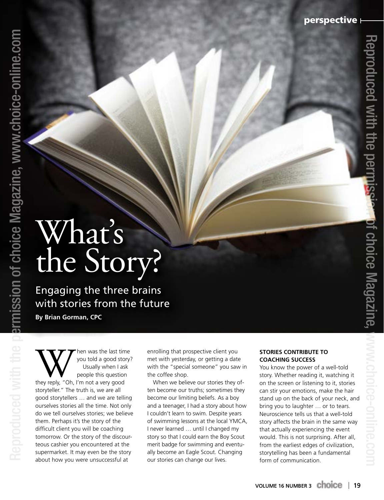## What's the Story?

Reproduced with the permission of choice Magazine, www.choice-online.com Reproduced with the permission of choice Magazine, www.choice-online.com

Engaging the three brains with stories from the future **By Brian Gorman, CPC**

When was the last time<br>
you told a good story:<br>
Usually when I ask<br>
people this question<br>
they reply, "Oh, I'm not a very good you told a good story? Usually when I ask people this question storyteller." The truth is, we are all good storytellers … and we are telling ourselves stories all the time. Not only do we tell ourselves stories; we believe them. Perhaps it's the story of the difficult client you will be coaching tomorrow. Or the story of the discourteous cashier you encountered at the supermarket. It may even be the story about how you were unsuccessful at

enrolling that prospective client you met with yesterday, or getting a date with the "special someone" you saw in the coffee shop.

When we believe our stories they often become our truths; sometimes they become our limiting beliefs. As a boy and a teenager, I had a story about how I couldn't learn to swim. Despite years of swimming lessons at the local YMCA, I never learned … until I changed my story so that I could earn the Boy Scout merit badge for swimming and eventually become an Eagle Scout. Changing our stories can change our lives.

#### **STORIES CONTRIBUTE TO COACHING SUCCESS**

You know the power of a well-told story. Whether reading it, watching it on the screen or listening to it, stories can stir your emotions, make the hair stand up on the back of your neck, and bring you to laughter … or to tears. Neuroscience tells us that a well-told story affects the brain in the same way that actually experiencing the event would. This is not surprising. After all, from the earliest edges of civilization, storytelling has been a fundamental form of communication.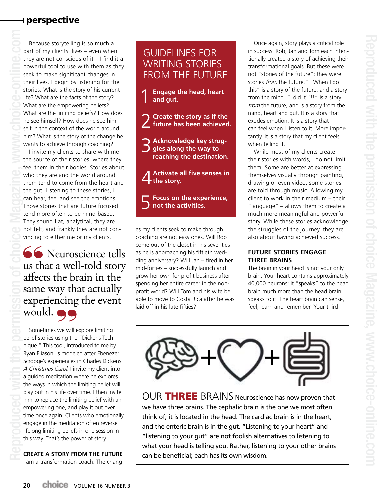#### perspective

Because storytelling is so much a part of my clients' lives – even when they are not conscious of it  $-1$  find it a powerful tool to use with them as they seek to make significant changes in their lives. I begin by listening for the stories. What is the story of his current life? What are the facts of the story? What are the empowering beliefs? What are the limiting beliefs? How does he see himself? How does he see himself in the context of the world around him? What is the story of the change he wants to achieve through coaching?

I invite my clients to share with me the source of their stories; where they feel them in their bodies. Stories about who they are and the world around them tend to come from the heart and the gut. Listening to these stories, I can hear, feel and see the emotions. Those stories that are future focused tend more often to be mind-based. They sound flat, analytical, they are not felt, and frankly they are not convincing to either me or my clients.

66 Neuroscience tells us that a well-told story affects the brain in the same way that actually experiencing the event would.  $\bullet$ 

Sometimes we will explore limiting belief stories using the "Dickens Technique." This tool, introduced to me by Ryan Eliason, is modeled after Ebenezer Scrooge's experiences in Charles Dickens A Christmas Carol. I invite my client into a guided meditation where he explores the ways in which the limiting belief will play out in his life over time. I then invite him to replace the limiting belief with an empowering one, and play it out over time once again. Clients who emotionally engage in the meditation often reverse lifelong limiting beliefs in one session in this way. That's the power of story!

**CREATE A STORY FROM THE FUTURE**

I am a transformation coach. The chang-

#### GUIDELINES FOR WRITING STORIES FROM THE FUTURE

- 1**Engage the head, heart and gut.**
- 2 **Create the story as if the future has been achieved.**
- 3 **Acknowledge key struggles along the way to reaching the destination.**
- 4**Activate all five senses in the story.**
- 5**Focus on the experience, not the activities.**

es my clients seek to make through coaching are not easy ones. Will Rob come out of the closet in his seventies as he is approaching his fiftieth wedding anniversary? Will Jan – fired in her mid-forties – successfully launch and grow her own for-profit business after spending her entire career in the nonprofit world? Will Tom and his wife be able to move to Costa Rica after he was laid off in his late fifties?

Once again, story plays a critical role in success. Rob, Jan and Tom each intentionally created a story of achieving their transformational goals. But these were not "stories of the future"; they were stories from the future." "When I do this" is a story of the future, and a story from the mind. "I did it!!!!" is a story from the future, and is a story from the mind, heart and gut. It is a story that exudes emotion. It is a story that I can feel when I listen to it. More importantly, it is a story that my client feels when telling it.

While most of my clients create their stories with words, I do not limit them. Some are better at expressing themselves visually through painting, drawing or even video; some stories are told through music. Allowing my client to work in their medium – their "language" – allows them to create a much more meaningful and powerful story. While these stories acknowledge the struggles of the journey, they are also about having achieved success.

#### **FUTURE STORIES ENGAGE THREE BRAINS**

The brain in your head is not your only brain. Your heart contains approximately 40,000 neurons; it "speaks" to the head brain much more than the head brain speaks to it. The heart brain can sense, feel, learn and remember. Your third



OUR THREE BRAINS Neuroscience has now proven that we have three brains. The cephalic brain is the one we most often think of; it is located in the head. The cardiac brain is in the heart, and the enteric brain is in the gut. "Listening to your heart" and "listening to your gut" are not foolish alternatives to listening to what your head is telling you. Rather, listening to your other brains can be beneficial; each has its own wisdom.